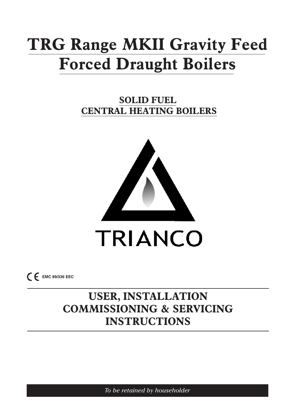# **TRG Range MKII Gravity Feed Forced Draught Boilers**

## **SOLID FUEL CENTRAL HEATING BOILERS**



**EMC 89/336 EEC**

# **USER, INSTALLATION COMMISSIONING & SERVICING INSTRUCTIONS**

*To be retained by householder*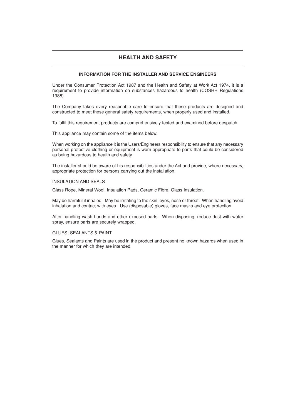### **HEALTH AND SAFETY**

#### **INFORMATION FOR THE INSTALLER AND SERVICE ENGINEERS**

Under the Consumer Protection Act 1987 and the Health and Safety at Work Act 1974, it is a requirement to provide information on substances hazardous to health (COSHH Regulations 1988).

The Company takes every reasonable care to ensure that these products are designed and constructed to meet these general safety requirements, when properly used and installed.

To fulfil this requirement products are comprehensively tested and examined before despatch.

This appliance may contain some of the items below.

When working on the appliance it is the Users/Engineers responsibility to ensure that any necessary personal protective clothing or equipment is worn appropriate to parts that could be considered as being hazardous to health and safety.

The installer should be aware of his responsibilities under the Act and provide, where necessary, appropriate protection for persons carrying out the installation.

#### INSULATION AND SEALS

Glass Rope, Mineral Wool, Insulation Pads, Ceramic Fibre, Glass Insulation.

May be harmful if inhaled. May be irritating to the skin, eyes, nose or throat. When handling avoid inhalation and contact with eyes. Use (disposable) gloves, face masks and eye protection.

After handling wash hands and other exposed parts. When disposing, reduce dust with water spray, ensure parts are securely wrapped.

#### GLUES, SEALANTS & PAINT

Glues, Sealants and Paints are used in the product and present no known hazards when used in the manner for which they are intended.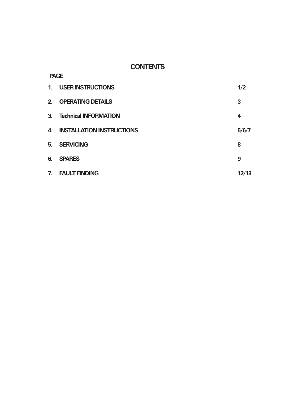### **CONTENTS**

**PAGE**

|                | 1. USER INSTRUCTIONS             | 1/2   |
|----------------|----------------------------------|-------|
| 2 <sub>1</sub> | <b>OPERATING DETAILS</b>         | 3     |
| 3.             | <b>Technical INFORMATION</b>     | 4     |
| 4.             | <b>INSTALLATION INSTRUCTIONS</b> | 5/6/7 |
| 5.             | <b>SERVICING</b>                 | 8     |
| 6.             | <b>SPARES</b>                    | 9     |
|                | 7. FAULT FINDING                 | 12/13 |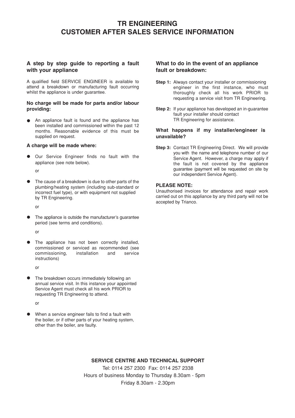### **TR ENGINEERING CUSTOMER AFTER SALES SERVICE INFORMATION**

### **A step by step guide to reporting a fault with your appliance**

A qualified field SERVICE ENGINEER is available to attend a breakdown or manufacturing fault occurring whilst the appliance is under quarantee.

### **No charge will be made for parts and/or labour providing:**

• An appliance fault is found and the appliance has been installed and commissioned within the past 12 months. Reasonable evidence of this must be supplied on request.

### **A charge will be made where:**

• Our Service Engineer finds no fault with the appliance (see note below).

or

• The cause of a breakdown is due to other parts of the plumbing/heating system (including sub-standard or incorrect fuel type), or with equipment not supplied by TR Engineering.

or

• The appliance is outside the manufacturer's guarantee period (see terms and conditions).

or

The appliance has not been correctly installed. commissioned or serviced as recommended (see commissioning, installation and service instructions)

or

• The breakdown occurs immediately following an annual service visit. In this instance your appointed Service Agent must check all his work PRIOR to requesting TR Engineering to attend.

or

When a service engineer fails to find a fault with the boiler, or if other parts of your heating system, other than the boiler, are faulty.

### **What to do in the event of an appliance fault or breakdown:**

- **Step 1:** Always contact your installer or commissioning engineer in the first instance, who must thoroughly check all his work PRIOR to requesting a service visit from TR Engineering.
- **Step 2:** If your appliance has developed an in-guarantee fault your installer should contact TR Engineering for assistance.

### **What happens if my installer/engineer is unavailable?**

**Step 3:** Contact TR Engineering Direct. We will provide you with the name and telephone number of our Service Agent. However, a charge may apply if the fault is not covered by the appliance guarantee (payment will be requested on site by our independent Service Agent).

### **PLEASE NOTE:**

Unauthorised invoices for attendance and repair work carried out on this appliance by any third party will not be accepted by Trianco.

### **SERVICE CENTRE AND TECHNICAL SUPPORT**

Tel: 0114 257 2300 Fax: 0114 257 2338 Hours of business Monday to Thursday 8.30am - 5pm Friday 8.30am - 2.30pm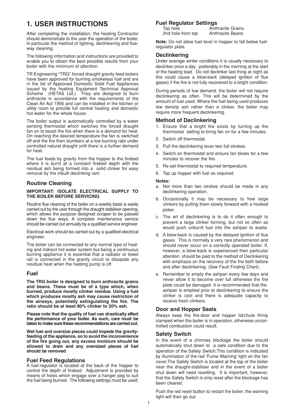### **1. USER INSTRUCTIONS**

After completing the installation, the heating Contractor should demonstrate to the user the operation of the boiler, in particular the method of lighting, declinkering and flueway cleaning.

The following information and instructions are provided to enable you to obtain the best possible results from your boiler with the minimum of attention.

TR Engineering "TRG" forced draught gravity feed boilers have been approved for burning smokeless fuel and are in the list of Approved Domestic Solid Fuel Appliances issued by the heating Equipment Technical Approval Scheme (HETAS Ltd.) They are designed to burn anthracite in accordance with the requirements of the Clean Air Act 1956 and can be installed in the kitchen or utility room to provide full central heating and domestic hot water for the whole house.

The boiler output is automatically controlled by a water sensing thermostat which switches the forced draught fan on to boost the fire when there is a demand for heat. On reaching the desired temperature the fan is switched off and the fire then slumbers at a low burning rate under controlled natural draught until there is a further demand for heat.

The fuel feeds by gravity from the hopper to the firebed where it is burnt at a constant firebed depth with the residual ash being formed into a solid clinker for easy removal by the inbuilt declinking ram.

### **Routine Cleaning**

#### **IMPORTANT: ISOLATE ELECTRICAL SUPPLY TO THE BOILER BEFORE SERVICING**

Routine flue cleaning of the boiler on a weekly basis is easily carried out by the user through the draught stabiliser opening, which allows the purpose designed scraper to be passed down the flue ways. A complete maintenance service should be carried out annually by a qualified service engineer.

Electrical work should be carried out by a qualified electrical engineer.

The boiler can be connected to any normal type of heating and indirect hot water system but being a continuous burning appliance it is essential that a radiator or towel rail is connected in the gravity circuit to dissipate any residual heat when the heating pump is off.

### **Fuel**

**The TRG boiler is designed to burn anthracite grains and beans. These must be of a type which, when burned, produce mostly clinker residue. Using a fuel which produces mostly ash may cause restriction of the airways, potentially extinguishing the fire. The ratio should be at least 80% clinker to 20% ash.**

**Please note that the quality of fuel can drastically affect the performance of your boiler. As such, care must be taken to make sure these recommendations are carried out.**

**Wet fuel and oversize pieces could impede the gravityfeeding of the appliance, so to avoid the inconvenience of the fire going out, any excess moisture should be allowed to drain and any oversized pieces of fuel should be removed**.

### **Fuel Feed Regulations**

A fuel-regulator is located at the back of the hopper to control the depth of firebed. Adjustment is provided by means of holes which engage over a hanger peg to suit the fuel being burned. The following settings must be used:

### **Fuel Regulator Settings**<br>Top hole **Anth**

Anthracite Grains 2nd hole from top Anthracite Beans

**Note:** Do not allow fuel level in hopper to fall below fuelregulator plate.

### **Declinkering**

Under average winter conditions it is usually necessary to declinker once a day, preferably in the morning at the start of the heating load. Do not declinker last thing at night as this could cause a blow-back (delayed ignition of flue gases) if the fire is not fully recovered to a bright condition.

During periods of low demand, the boiler will not require declinkering as often. This will be determined by the amount of fuel used. Where the fuel being used produces low density ash rather than a clinker, the boiler may require more frequent declinkering.

### **Method of Declinkering**

- 1. Ensure that a bright fire exists by turning up the thermostat setting to bring fan on for a few minutes.
- 2. Switch off thermostat.
- 3. Pull the declinkering lever two full strokes.
- 4. Switch on thermostat and ensure fan blows for a few minutes to recover the fire.
- 5. Re-set thermostat to required temperature.
- 6. Top up hopper with fuel as required.

#### **Notes:**

- a. Not more than two strokes should be made in any declinkering operation.
- b. Occasionally it may be necessary to free large clinkers by pulling them slowly forward with a hooked poker.
- c. The art of declinkering is to do it often enough to prevent a large clinker forming, but not so often as would push unburnt fuel into the ashpan to waste.
- d. A blow-back is caused by the delayed ignition of flue gases. This is normally a very rare phenomenon and should never occur on a correctly operated boiler. If, however, a blow-back is experienced then particular attention should be paid to the method of Declinkering with emphasis on the recovery of the fire both before and after declinkering. (See Fault Finding Chart).
- e. Remember to empty the ashpan every few days and never allow it to become over full otherwise the fire plate could be damaged. It is recommended that the ashpan is emptied prior to declinkering to ensure the clinker is cool and there is adequate capacity to receive fresh clinkers.

### **Door and Hopper Seals**

Always keep the fire-door and hopper lid/chute firmly clamped when the boiler is in operation, otherwise uncontrolled combustion could result.

### **Safety Switch**

In the event of a chimney blockage the boiler should automatically shut down to a safe condition due to the operation of the Safety Switch.This condition is indicated by illumination of the red 'Fume Warning' light on the fan cover.The Safety Switch is located at the top of the boiler near the draught-stabiliser and in the event of a boiler shut down will need resetting. It is important, however, that the Safety Switch is only reset after the blockage has been cleared.

Push the red reset button to restart the boiler; the warning light will then go out.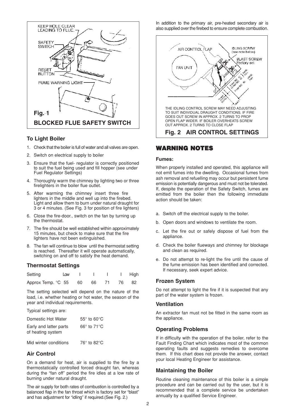

### **To Light Boiler**

- 1. Check that the boiler is full of water and all valves are open.
- 2. Switch on electrical supply to boiler
- 3. Ensure that the fuel- regulator is correctly positioned to suit the fuel being used and fill hopper (see under Fuel Regulator Settings)
- 4. Thoroughly warm the chimney by lighting two or three firelighters in the boiler flue outlet.
- 5. After warming the chimney insert three fire lighters in the middle and well up into the firebed. Light and allow them to burn under natural draught for 3 or 4 minutes. (See Fig. 3 for position of fire lighters)
- 6. Close the fire-door., switch on the fan by turning up the thermostat.
- 7. The fire should be well established within approximately 15 minutes, but check to make sure that the fire lighters have not been extinguished.
- 8. The fan will continue to blow until the thermostat setting is reached. Thereafter it will operate automatically, switching on and off to satisfy the heat demand.

### **Thermostat Settings**

| Setting                           | $Low \quad 1 \quad 1 \quad 1 \quad 1$ High |  |  |  |
|-----------------------------------|--------------------------------------------|--|--|--|
| Approx Temp. °C 55 60 66 71 76 82 |                                            |  |  |  |

The setting selected will depend on the nature of the load, i.e. whether heating or hot water, the season of the year and individual requirements.

Typical settings are:

| Domestic Hot Water                          | $55^\circ$ to $60^\circ$ C |
|---------------------------------------------|----------------------------|
| Early and latter parts<br>of heating system | $66^\circ$ to $71^\circ$ C |

Mid winter conditions 76° to 82°C

### **Air Control**

On a demand for heat, air is supplied to the fire by a thermostatically controlled forced draught fan, whereas during the "fan off" period the fire idles at a low rate of burning under natural draught.

The air supply for both rates of combustion is controlled by a balanced flap in the fan throat which is factory set for "blast" and has adjustment for "idling" if required.(See Fig. 2.)

In addition to the primary air, pre-heated secondary air is also supplied over the firebed to ensure complete combustion.



### **WARNING NOTES**

#### **Fumes:**

When properly installed and operated, this appliance will not emit fumes into the dwelling. Occasional fumes from ash removal and refuelling may occur but persistent fume emission is potentially dangerous and must not be tolerated. If, despite the operation of the Safety Switch, fumes are emitted from the boiler then the following immediate action should be taken:

- a. Switch off the electrical supply to the boiler.
- b. Open doors and windows to ventilate the room.
- c. Let the fire out or safely dispose of fuel from the appliance.
- d. Check the boiler flueways and chimney for blockage and clean as required.
- e. Do not attempt to re-light the fire until the cause of the fume emission has been identified and corrected. If necessary, seek expert advice.

### **Frozen System**

Do not attempt to light the fire if it is suspected that any part of the water system is frozen.

### **Ventilation**

An extractor fan must not be fitted in the same room as the appliance.

### **Operating Problems**

If in difficulty with the operation of the boiler, refer to the Fault Finding Chart which indicates most of the common operating faults and suggests remedies to overcome them. If this chart does not provide the answer, contact your local Heating Engineer for assistance.

### **Maintaining the Boiler**

Routine cleaning maintenance of this boiler is a simple procedure and can be carried out by the user, but it is recommended that a complete service be undertaken annually by a qualified Service Engineer.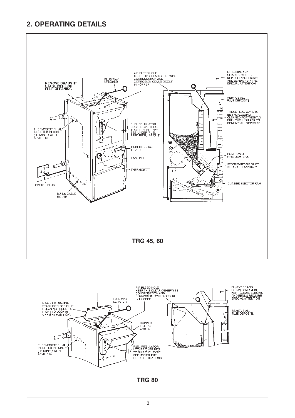### **2. OPERATING DETAILS**



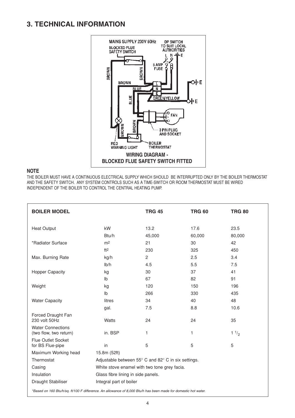### **3. TECHNICAL INFORMATION**



### **NOTE**

THE BOILER MUST HAVE A CONTINUOUS ELECTRICAL SUPPLY WHICH SHOULD BE INTERRUPTED ONLY BY THE BOILER THERMOSTAT AND THE SAFETY SWITCH. ANY SYSTEM CONTROLS SUCH AS A TIME-SWITCH OR ROOM THERMOSTAT MUST BE WIRED INDEPENDENT OF THE BOILER TO CONTROL THE CENTRAL HEATING PUMP.

| <b>BOILER MODEL</b>                                |                                                     | <b>TRG 45</b>  | <b>TRG 60</b> | <b>TRG 80</b>   |
|----------------------------------------------------|-----------------------------------------------------|----------------|---------------|-----------------|
| <b>Heat Output</b>                                 | <b>kW</b>                                           | 13.2           | 17.6          | 23.5            |
|                                                    | Btu/h                                               | 45,000         | 60,000        | 80,000          |
| *Radiator Surface                                  | m <sup>2</sup>                                      | 21             | 30            | 42              |
|                                                    | ft <sup>2</sup>                                     | 230            | 325           | 450             |
| Max. Burning Rate                                  | kg/h                                                | $\overline{2}$ | 2.5           | 3.4             |
|                                                    | Ib/h                                                | 4.5            | 5.5           | 7.5             |
| <b>Hopper Capacity</b>                             | kg                                                  | 30             | 37            | 41              |
|                                                    | lb                                                  | 67             | 82            | 91              |
| Weight                                             | kg                                                  | 120            | 150           | 196             |
|                                                    | lb                                                  | 266            | 330           | 435             |
| <b>Water Capacity</b>                              | litres                                              | 34             | 40            | 48              |
|                                                    | gal.                                                | 7.5            | 8.8           | 10.6            |
| Forced Draught Fan<br>230 volt 50Hz                | Watts                                               | 24             | 24            | 35              |
| <b>Water Connections</b><br>(two flow, two return) | in. BSP                                             | 1              | 1             | $1 \frac{1}{2}$ |
| <b>Flue Outlet Socket</b><br>for BS Flue-pipe      | in                                                  | 5              | 5             | 5               |
| Maximum Working head                               | 15.8m (52ft)                                        |                |               |                 |
| Thermostat                                         | Adjustable between 55° C and 82° C in six settings. |                |               |                 |
| Casing                                             | White stove enamel with two tone grey facia.        |                |               |                 |
| Insulation                                         | Glass fibre lining in side panels.                  |                |               |                 |
| Draught Stabiliser                                 | Integral part of boiler                             |                |               |                 |
|                                                    |                                                     |                |               |                 |

\*Based on 160 Btu/h/sq. ft/100 F difference. An allowance of 8,000 Btu/h has been made for domestic hot water.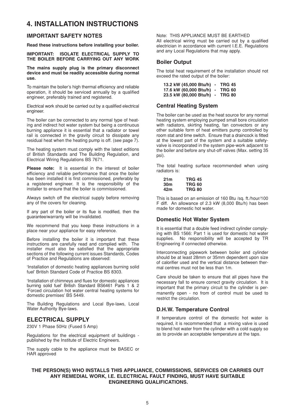### **4. INSTALLATION INSTRUCTIONS**

### **IMPORTANT SAFETY NOTES**

**Read these instructions before installing your boiler.**

**IMPORTANT: ISOLATE ELECTRICAL SUPPLY TO THE BOILER BEFORE CARRYING OUT ANY WORK**

**The mains supply plug is the primary disconnect device and must be readily accessible during normal use.**

To maintain the boiler's high thermal efficiency and reliable operation, it should be serviced annually by a qualified engineer, preferably trained and registered.

Electrical work should be carried out by a qualified electrical engineer.

The boiler can be connected to any normal type of heating and indirect hot water system but being a continuous burning appliance it is essential that a radiator or towel rail is connected in the gravity circuit to dissipate any residual heat when the heating pump is off. (see page 7).

The heating system must comply with the latest editions of British Standards and The Building Regulation, and Electrical Wiring Regulations BS 7671.

**Please note:** It is essential in the interest of boiler efficiency and reliable performance that once the boiler has been installed it is first commissioned, preferably by a registered engineer. It is the responsibility of the installer to ensure that the boiler is commissioned.

Always switch off the electrical supply before removing any of the covers for cleaning.

If any part of the boiler or its flue is modified, then the guarantee/warranty will be invalidated.

We recommend that you keep these instructions in a place near your appliance for easy reference.

Before installing the boiler it is important that these instructions are carefully read and complied with. The installer must also be satisfied that the appropriate sections of the following current issues Standards, Codes of Practice and Regulations are observed:

'Installation of domestic heating appliances burning solid fuel' British Standard Code of Practice BS 8303.

'Installation of chimneys and flues for domestic appliances burning solid fuel' British Standard BS6461 Parts 1 & 2 'Forced circulation hot water central heating systems for domestic premises' BS 5449.

The Building Regulations and Local Bye-laws, Local Water Authority Bye-laws.

### **ELECTRICAL SUPPLY**

230V 1 Phase 50Hz (Fused 5 Amp)

Regulations for the electrical equipment of buildings published by the Institute of Electric Engineers.

The supply cable to the appliance must be BASEC or HAR approved

Note: THIS APPLIANCE MUST BE EARTHED All electrical wiring must be carried out by a qualified electrician in accordance with current I.E.E. Regulations and any Local Regulations that may apply.

### **Boiler Output**

The total heat requirement of the installation should not exceed the rated output of the boiler:

|  | 13.2 kW (45,000 Btu/h) |  | TRG 45        |
|--|------------------------|--|---------------|
|  | 17.6 kW (60,000 Btu/h) |  | <b>TRG 60</b> |
|  | 23.5 kW (80,000 Btu/h) |  | <b>TRG 80</b> |

### **Central Heating System**

The boiler can be used as the heat source for any normal heating system employing pumped small bore circulation with radiators, skirting heating, fan convectors or any other suitable form of heat emitters pump controlled by room stat and time switch. Ensure that a draincock is fitted at the lowest part of the system and a suitable safetyvalve is incorporated in the system pipe-work adjacent to the boiler and before any shut-off valves (Max. setting 35 psi).

The total heating surface recommended when using radiators is:

| 21 <sub>m</sub> | TRG 45        |
|-----------------|---------------|
| 30m             | TRG 60        |
| 42m             | <b>TRG 80</b> |

This is based on an emission of 160 Btu /sq. ft./hour/100 F diff. An allowance of 2.3 kW (8,000 Btu/h) has been made for domestic hot water.

### **Domestic Hot Water System**

It is essential that a double feed indirect cylinder complying with BS 1566: Part 1 is used for domestic hot water supplies. No responsibility will be accepted by TR Engineering if connected otherwise.

Interconnecting pipework between boiler and cylinder should be at least 28mm or 35mm dependent upon size of calorifier used and the vertical distance between thermal centres must not be less than 1m.

Care should be taken to ensure that all pipes have the necessary fall to ensure correct gravity circulation. It is important that the primary circuit to the cylinder is permanently open - no from of control must be used to restrict the circulation.

### **D.H.W. Temperature Control**

If temperature control of the domestic hot water is required, it is recommended that a mixing valve is used to blend hot water from the cylinder with a cold supply so as to provide an acceptable temperature at the taps.

### **THE PERSON(S) WHO INSTALLS THIS APPLIANCE, COMMISSIONS, SERVICES OR CARRIES OUT ANY REMEDIAL WORK, I.E. ELECTRICAL FAULT FINDING, MUST HAVE SUITABLE ENGINEERING QUALIFICATIONS.**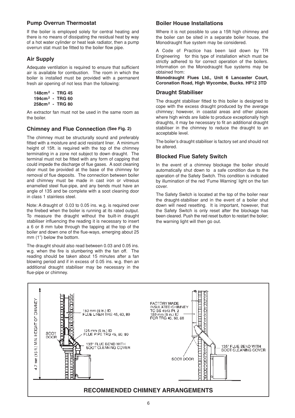### **Pump Overrun Thermostat**

If the boiler is employed solely for central heating and there is no means of dissipating the residual heat by way of a hot water cylinder or heat leak radiator, then a pump overrun stat must be fitted to the boiler flow pipe.

### **Air Supply**

Adequate ventilation is required to ensure that sufficient air is available for combustion. The room in which the boiler is installed must be provided with a permanent fresh air opening of not less than the following:

```
148cm2 - TRG 45
194cm2 - TRG 60
258cm2 - TRG 80
```
An extractor fan must not be used in the same room as the boiler.

### **Chimney and Flue Connection (See Fig. 2)**

The chimney must be structurally sound and preferably fitted with a moisture and acid resistant liner. A minimum height of 15ft. is required with the top of the chimney terminating in a zone not subject to down draught. The terminal must not be fitted with any form of capping that could impede the discharge of flue gases. A soot cleaning door must be provided at the base of the chimney for removal of flue deposits. The connection between boiler and chimney must be made in cast iron or vitreous enamelled steel flue-pipe, and any bends must have an angle of 135 and be complete with a soot cleaning door in class 1 stainless steel.

Note: A draught of 0.03 to 0.05 ins. w.g. is required over the firebed when the boiler is running at its rated output. To measure the draught without the built-in draught stabiliser influencing the reading it is necessary to insert a 6 or 8 mm tube through the tapping at the top of the boiler and down one of the flue-ways, emerging about 25 mm (1") below the bottom.

The draught should also read between 0.03 and 0.05 ins. w.g. when the fire is slumbering with the fan off. The reading should be taken about 15 minutes after a fan blowing period and if in excess of 0.05 ins. w.g. then an additional draught stabiliser may be necessary in the flue-pipe or chimney.

### **Boiler House Installations**

Where it is not possible to use a 15ft high chimney and the boiler can be sited in a separate boiler house, the Monodraught flue system may be considered.

A Code of Practice has been laid down by TR Engineering for this type of installation which must be strictly adhered to for correct operation of the boilers. Information on the Monodraught flue systems may be obtained from:

**Monodraught Flues Ltd., Unit 6 Lancaster Court, Coronation Road, High Wycombe, Bucks. HP12 3TD**

### **Draught Stabiliser**

The draught stabiliser fitted to this boiler is designed to cope with the excess draught produced by the average chimney; however, in coastal areas and other places where high winds are liable to produce exceptionally high draughts, it may be necessary to fit an additional draught stabiliser in the chimney to reduce the draught to an acceptable level.

The boiler's draught stabiliser is factory set and should not be altered.

### **Blocked Flue Safety Switch**

In the event of a chimney blockage the boiler should automatically shut down to a safe condition due to the operation of the Safety Switch. This condition is indicated by illumination of the red 'Fume Warning' light on the fan cover.

The Safety Switch is located at the top of the boiler near the draught-stabiliser and in the event of a boiler shut down will need resetting. It is important, however, that the Safety Switch is only reset after the blockage has been cleared. Push the red reset button to restart the boiler; the warning light will then go out.

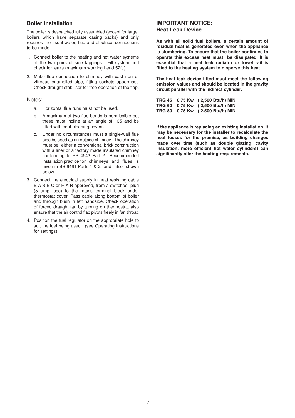### **Boiler Installation**

The boiler is despatched fully assembled (except for larger boilers which have separate casing packs) and only requires the usual water, flue and electrical connections to be made.

- 1. Connect boiler to the heating and hot water systems at the two pairs of side tappings. Fill system and check for leaks (maximum working head 52ft.).
- 2. Make flue connection to chimney with cast iron or vitreous enamelled pipe, fitting sockets uppermost. Check draught stabiliser for free operation of the flap.

### Notes:

- a. Horizontal flue runs must not be used.
- b. A maximum of two flue bends is permissible but these must incline at an angle of 135 and be fitted with soot cleaning covers.
- c. Under no circumstances must a single-wall flue pipe be used as an outside chimney. The chimney must be either a conventional brick construction with a liner or a factory made insulated chimney conforming to BS 4543 Part 2:. Recommended installation practice for chimneys and flues is given in BS 6461 Parts 1 & 2 and also shown below.
- 3. Connect the electrical supply in heat resisting cable B A S E C or H A R approved, from a switched plug (5 amp fuse) to the mains terminal block under thermostat cover. Pass cable along bottom of boiler and through bush in left handside. Check operation of forced draught fan by turning on thermostat, also ensure that the air control flap pivots freely in fan throat.
- 4. Position the fuel regulator on the appropriate hole to suit the fuel being used. (see Operating Instructions for settings).

### **IMPORTANT NOTICE: Heat-Leak Device**

**As with all solid fuel boilers, a certain amount of residual heat is generated even when the appliance is slumbering. To ensure that the boiler continues to operate this excess heat must be dissipated. It is essential that a heat leak radiator or towel rail is fitted to the heating system to disperse this heat.**

**The heat leak device fitted must meet the following emission values and should be located in the gravity circuit parallel with the indirect cylinder.**

| TRG 45 | 0.75 Kw | (2,500 Btu/h) MIN |
|--------|---------|-------------------|
| TRG 60 | 0.75 Kw | (2,500 Btu/h) MIN |
| TRG 80 | 0.75 Kw | (2,500 Btu/h) MIN |

**If the appliance is replacing an existing installation, it may be necessary for the installer to recalculate the heat losses for the premise, as building changes made over time (such as double glazing, cavity insulation, more efficient hot water cylinders) can significantly alter the heating requirements.**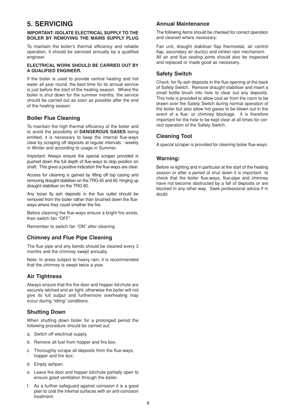### **5. SERVICING**

#### **IMPORTANT: ISOLATE ELECTRICAL SUPPLY TO THE BOILER BY REMOVING THE MAINS SUPPLY PLUG**

To maintain the boiler's thermal efficiency and reliable operation, it should be serviced annually by a qualified engineer.

#### **ELECTRICAL WORK SHOULD BE CARRIED OUT BY A QUALIFIED ENGINEER.**

If the boiler is used to provide central heating and hot water all year round, the best time for its annual service is just before the start of the heating season. Where the boiler is shut down for the summer months, the service should be carried out as soon as possible after the end of the heating season.

### **Boiler Flue Cleaning**

To maintain the high thermal efficiency of the boiler and to avoid the possibility of **DANGEROUS GASES** being emitted, it is necessary to keep the internal flue-ways clear by scraping off deposits at regular intervals - weekly in Winter and according to usage in Summer.

Important: Always ensure the special scraper provided is pushed down the full depth of flue-ways to stop position on shaft. This gives a positive indication the flue-ways are clear.

Access for cleaning is gained by lifting off top casing and removing draught-stabiliser on the TRG 45 and 60, hinging up draught stabiliser on the TRG 80.

Any loose fly ash deposits in the flue outlet should be removed from the boiler rather than brushed down the flueways where they could smother the fire.

Before cleaning the flue-ways ensure a bright fire exists, then switch fan "OFF".

Remember to switch fan "ON" after cleaning.

### **Chimney and Flue Pipe Cleaning**

The flue pipe and any bends should be cleaned every 3 months and the chimney swept annually.

Note: In areas subject to heavy rain, it is recommended that the chimney is swept twice a year.

### **Air Tightness**

Always ensure that the fire door and hopper lid/chute are securely latched and air tight, otherwise the boiler will not give its full output and furthermore overheating may occur during "idling" conditions.

### **Shutting Down**

When shutting down boiler for a prolonged period the following procedure should be carried out:

- a. Switch off electrical supply.
- b. Remove all fuel from hopper and fire box.
- c. Thoroughly scrape all deposits from the flue-ways, hopper and fire box.
- d. Empty ashpan.
- e. Leave fire door and hopper lid/chute partially open to ensure good ventilation through the boiler.
- f. As a further safeguard against corrosion it is a good plan to coat the internal surfaces with an anti-corrosion treatment.

### **Annual Maintenance**

The following items should be checked for correct operation and cleaned where necessary:

Fan unit, draught stabiliser flap thermostat, air control flap, secondary air duct(s) and clinker ram mechanism. All air and flue sealing joints should also be inspected and replaced or made good as necessary.

### **Safety Switch**

Check for fly-ash deposits in the flue opening at the back of Safety Switch. Remove draught-stabiliser and insert a small bottle brush into hole to clear out any deposits. This hole is provided to allow cool air from the room to be drawn over the Safety Switch during normal operation of the boiler but also allow hot gases to be blown out in the event of a flue- or chimney blockage. It is therefore important for the hole to be kept clear at all times for correct operation of the Safety Switch.

### **Cleaning Tool**

A special scraper is provided for cleaning boiler flue-ways.

### **Warning:**

Before re-lighting and in particular at the start of the heating season or after a period of shut down it is important to check that the boiler flue-ways, flue-pipe and chimney have not become obstructed by a fall of deposits or are blocked in any other way. Seek professional advice if in doubt.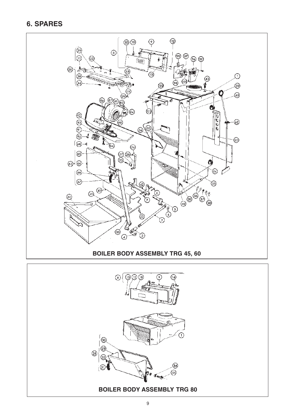### **6. SPARES**

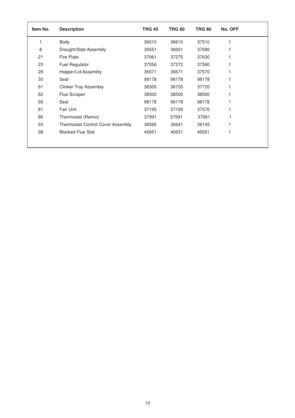| Item No. | <b>Description</b>                       | <b>TRG 45</b> | <b>TRG 60</b> | <b>TRG 80</b> | No. OFF |  |
|----------|------------------------------------------|---------------|---------------|---------------|---------|--|
| 1        | Body                                     | 36510         | 36610         | 37510         |         |  |
| 8        | Draught/Stab Assembly                    | 36551         | 36651         | 37680         |         |  |
| 21       | <b>Fire Plate</b>                        | 37061         | 37275         | 37630         |         |  |
| 23       | <b>Fuel Regulator</b>                    | 37056         | 37272         | 37590         |         |  |
| 28       | Hopper/Lid Assembly                      | 36571         | 36671         | 37570         |         |  |
| 30       | Seal                                     | 98178         | 98178         | 98178         |         |  |
| 61       | <b>Clinker Tray Assembly</b>             | 36505         | 36705         | 37720         |         |  |
| 62       | Flue Scraper                             | 38500         | 38500         | 38500         |         |  |
| 65       | Seal                                     | 98178         | 98178         | 98178         |         |  |
| 81       | Fan Unit                                 | 37195         | 37195         | 37576         |         |  |
| 86       | Thermostat (Ranco)                       | 37991         | 37991         | 37991         |         |  |
| 93       | <b>Thermostat Control Cover Assembly</b> | 36566         | 36641         | 36145         |         |  |
| 98       | <b>Blocked Flue Stat</b>                 | 45651         | 45651         | 45651         |         |  |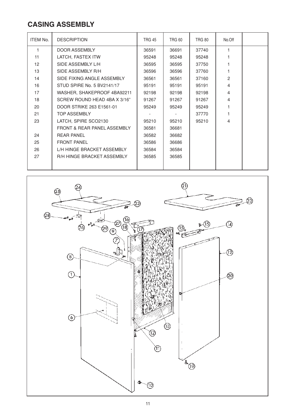### **CASING ASSEMBLY**

| ITEM No. | <b>DESCRIPTION</b>                     | TRG 45 | <b>TRG 60</b> | <b>TRG 80</b> | No.Off         |  |
|----------|----------------------------------------|--------|---------------|---------------|----------------|--|
| 1        | <b>DOOR ASSEMBLY</b>                   | 36591  | 36691         | 37740         |                |  |
| 11       | LATCH, FASTEX ITW                      | 95248  | 95248         | 95248         |                |  |
| 12       | SIDE ASSEMBLY L/H                      | 36595  | 36595         | 37750         |                |  |
| 13       | SIDE ASSEMBLY R/H                      | 36596  | 36596         | 37760         |                |  |
| 14       | SIDE FIXING ANGLE ASSEMBLY             | 36561  | 36561         | 37160         | $\overline{2}$ |  |
| 16       | STUD SPIRE No. 5 BV2141/17             | 95191  | 95191         | 95191         | 4              |  |
| 17       | WASHER, SHAKEPROOF 4BA92211            | 92198  | 92198         | 92198         | 4              |  |
| 18       | SCREW ROUND HEAD 4BA X 3/16"           | 91267  | 91267         | 91267         | 4              |  |
| 20       | <b>DOOR STRIKE 263 E1561-01</b>        | 95249  | 95249         | 95249         |                |  |
| 21       | <b>TOP ASSEMBLY</b>                    |        |               | 37770         |                |  |
| 23       | LATCH, SPIRE SCO2130                   | 95210  | 95210         | 95210         | 4              |  |
|          | <b>FRONT &amp; REAR PANEL ASSEMBLY</b> | 36581  | 36681         |               |                |  |
| 24       | <b>REAR PANEL</b>                      | 36582  | 36682         |               |                |  |
| 25       | <b>FRONT PANEL</b>                     | 36586  | 36686         |               |                |  |
| 26       | L/H HINGE BRACKET ASSEMBLY             | 36584  | 36584         |               |                |  |
| 27       | R/H HINGE BRACKET ASSEMBLY             | 36585  | 36585         |               |                |  |
|          |                                        |        |               |               |                |  |

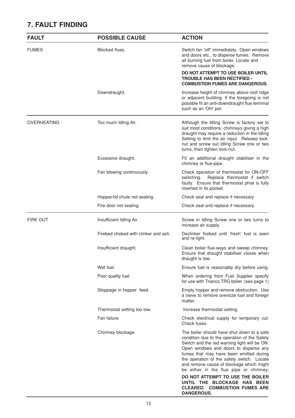### **7. FAULT FINDING**

| <b>FAULT</b>       | <b>POSSIBLE CAUSE</b>                | <b>ACTION</b>                                                                                                                                                                                                                                                                                                                                                       |
|--------------------|--------------------------------------|---------------------------------------------------------------------------------------------------------------------------------------------------------------------------------------------------------------------------------------------------------------------------------------------------------------------------------------------------------------------|
| <b>FUMES</b>       | Blocked flues.                       | Switch fan "off" immediately. Open windows<br>and doors etc., to disperse fumes. Remove<br>all burning fuel from boiler. Locate and<br>remove cause of blockage.                                                                                                                                                                                                    |
|                    |                                      | DO NOT ATTEMPT TO USE BOILER UNTIL<br><b>TROUBLE HAS BEEN RECTIFIED -</b><br><b>COMBUSTION FUMES ARE DANGEROUS.</b>                                                                                                                                                                                                                                                 |
|                    | Downdraught.                         | Increase height of chimney above roof ridge<br>or adjacent building. If the foregoing is not<br>possible fit an anti-downdraught flue terminal<br>such as an 'OH' pot.                                                                                                                                                                                              |
| <b>OVERHEATING</b> | Too much Idling Air.                 | Although the Idling Screw is factory set to<br>suit most conditions, chimneys giving a high<br>draught may require a reduction in the Idling<br>Setting to limit the air input. Release lock-<br>nut and screw out Idling Screw one or two<br>turns, then tighten lock-nut.                                                                                         |
|                    | Excessive draught.                   | Fit an additional draught stabiliser in the<br>chimney or flue-pipe.                                                                                                                                                                                                                                                                                                |
|                    | Fan blowing continuously.            | Check operation of thermostat for ON-OFF<br>Replace thermostat if switch<br>switching.<br>faulty. Ensure that thermostat phial is fully<br>inserted in its pocket.                                                                                                                                                                                                  |
|                    | Hopper/lid chute not sealing.        | Check seal and replace if necessary                                                                                                                                                                                                                                                                                                                                 |
|                    | Fire door not sealing.               | Check seal and replace if necessary.                                                                                                                                                                                                                                                                                                                                |
| <b>FIRE OUT</b>    | Insufficient Idling Air.             | Screw in Idling Screw one or two turns to<br>increase air supply.                                                                                                                                                                                                                                                                                                   |
|                    | Firebed choked with clinker and ash. | Declinker firebed until 'fresh' fuel is seen<br>and re-light.                                                                                                                                                                                                                                                                                                       |
|                    | Insufficient draught.                | Clean boiler flue-ways and sweep chimney.<br>Ensure that draught stabiliser closes when<br>draught is low                                                                                                                                                                                                                                                           |
|                    | Wet fuel.                            | Ensure fuel is reasonably dry before using.                                                                                                                                                                                                                                                                                                                         |
|                    | Poor quality fuel.                   | When ordering from Fuel Supplier specify<br>for use with Trianco TRG boiler. (see page 1)                                                                                                                                                                                                                                                                           |
|                    | Stoppage in hopper feed.             | Empty hopper and remove obstruction. Use<br>a sieve to remove oversize fuel and foreign<br>matter.                                                                                                                                                                                                                                                                  |
|                    | Thermostat setting too low.          | Increase thermostat setting.                                                                                                                                                                                                                                                                                                                                        |
|                    | Fan failure                          | Check electrical supply for temporary cut.<br>Check fuses.                                                                                                                                                                                                                                                                                                          |
|                    | Chimney blockage.                    | The boiler should have shut down to a safe<br>condition due to the operation of the Safety<br>Switch and the red warning light will be ON.<br>Open windows and doors to disperse any<br>fumes that may have been emitted during<br>the operation of the safety switch. Locate<br>and remove cause of blockage which might<br>be either in the flue pipe or chimney. |
|                    |                                      | DO NOT ATTEMPT TO USE THE BOILER<br>UNTIL THE BLOCKAGE HAS BEEN<br><b>CLEARED. COMBUSTION FUMES ARE</b><br><b>DANGEROUS.</b>                                                                                                                                                                                                                                        |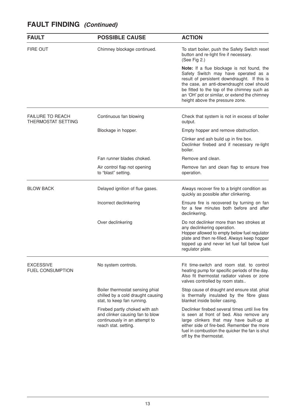### **FAULT FINDING (Continued)**

| <b>FAULT</b>                                  | <b>POSSIBLE CAUSE</b>                                                                                                      | <b>ACTION</b>                                                                                                                                                                                                                                                                                                      |
|-----------------------------------------------|----------------------------------------------------------------------------------------------------------------------------|--------------------------------------------------------------------------------------------------------------------------------------------------------------------------------------------------------------------------------------------------------------------------------------------------------------------|
| <b>FIRE OUT</b>                               | Chimney blockage continued.                                                                                                | To start boiler, push the Safety Switch reset<br>button and re-light fire if necessary.<br>(See Fig 2.)                                                                                                                                                                                                            |
|                                               |                                                                                                                            | Note: If a flue blockage is not found, the<br>Safety Switch may have operated as a<br>result of persistent downdraught. If this is<br>the case, an anti-downdraught cowl should<br>be fitted to the top of the chimney such as<br>an 'OH' pot or similar, or extend the chimney<br>height above the pressure zone. |
| <b>FAILURE TO REACH</b><br>THERMOSTAT SETTING | Continuous fan blowing                                                                                                     | Check that system is not in excess of boiler<br>output.                                                                                                                                                                                                                                                            |
|                                               | Blockage in hopper.                                                                                                        | Empty hopper and remove obstruction.                                                                                                                                                                                                                                                                               |
|                                               |                                                                                                                            | Clinker and ash build up in fire box.<br>Declinker firebed and if necessary re-light<br>boiler.                                                                                                                                                                                                                    |
|                                               | Fan runner blades choked.                                                                                                  | Remove and clean.                                                                                                                                                                                                                                                                                                  |
|                                               | Air control flap not opening<br>to "blast" setting.                                                                        | Remove fan and clean flap to ensure free<br>operation.                                                                                                                                                                                                                                                             |
| <b>BLOW BACK</b>                              | Delayed ignition of flue gases.                                                                                            | Always recover fire to a bright condition as<br>quickly as possible after clinkering.                                                                                                                                                                                                                              |
|                                               | Incorrect declinkering                                                                                                     | Ensure fire is recovered by turning on fan<br>for a few minutes both before and after<br>declinkering.                                                                                                                                                                                                             |
|                                               | Over declinkering                                                                                                          | Do not declinker more than two strokes at<br>any declinkering operation.<br>Hopper allowed to empty below fuel regulator<br>plate and then re-filled. Always keep hopper<br>topped up and never let fuel fall below fuel<br>regulator plate.                                                                       |
| <b>EXCESSIVE</b><br><b>FUEL CONSUMPTION</b>   | No system controls.                                                                                                        | Fit time-switch and room stat. to control<br>heating pump for specific periods of the day.<br>Also fit thermostat radiator valves or zone<br>valves controlled by room stats                                                                                                                                       |
|                                               | Boiler thermostat sensing phial<br>chilled by a cold draught causing<br>stat, to keep fan running.                         | Stop cause of draught and ensure stat. phial<br>is thermally insulated by the fibre glass<br>blanket inside boiler casing.                                                                                                                                                                                         |
|                                               | Firebed partly choked with ash<br>and clinker causing fan to blow<br>continuously in an attempt to<br>reach stat. setting. | Declinker firebed several times until live fire<br>is seen at front of bed. Also remove any<br>large clinkers that may have built-up at<br>either side of fire-bed. Remember the more<br>fuel in combustion the quicker the fan is shut<br>off by the thermostat.                                                  |